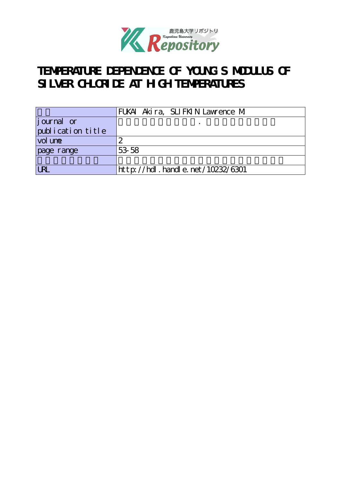

# **TEMPERATURE DEPENDENCE OF YOUNG'S MODULUS OF** SILVER CHLORIDE AT HIGH TEMPERATURES

|                   | FUKAI Akira, SLIFKIN Lawrence M  |
|-------------------|----------------------------------|
| $j$ ournal or     |                                  |
| publication title |                                  |
| vol une           |                                  |
| page range        | 53 58                            |
|                   |                                  |
| IR                | http://hdl.handle.net/10232/6301 |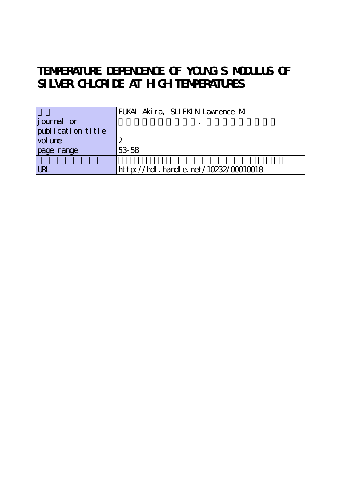# **TEMPERATURE DEPENDENCE OF YOUNG'S MODULUS OF** SILVER CHLORIDE AT HIGH TEMPERATURES

|                   | FUKAI Akira, SLIFKIN Lawrence M           |
|-------------------|-------------------------------------------|
| journal or        |                                           |
| publication title |                                           |
| vol une           |                                           |
| page range        | 53 58                                     |
|                   |                                           |
| <b>LRL</b>        | $http$ ://hdl. handle. net/10232/00010018 |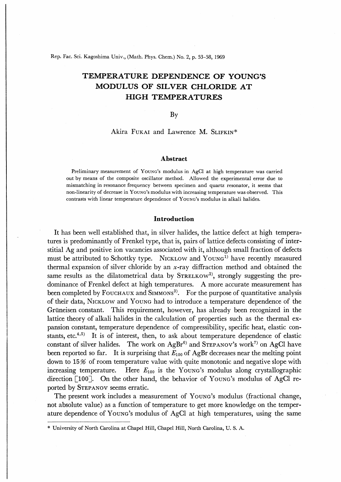Rep. Fac. Sci. Kagoshima Univ., (Math. Phys. Chem.) No. 2, p. 53-58, 1969

# TEMPERATURE DEPENDENCE OF YOUNG'S MODULUS OF SILVER CHLORIDE AT HIGH TEMPERATURES

By

# Akira FUKAI and Lawrence M. SLIFKIN\*

### Abstract

Preliminary measurement of Young's modulus in AgCl at high temperature was carried out by means of the composite oscillator method. Allowed the experimental error due to mismatching in resonance frequency between specimen and quartz resonator, it seems tha non-linearity of decrease in Young's modulus with increasing temperature was observed. This contrasts with linear temperature dependence of Young's modulus in alkali halides.

### Introduction

It has been well established that, in silver halides, the lattice defect at high temperatures is predominantly of Frenkel type, that is, pairs of lattice defects consisting of interstitial Ag and positive ion vacancies associated with it, although small fraction of defects must be attributed to Schottky type. NICKLOW and  $Young<sup>1</sup>$  have recently measured thermal expansion of silver chloride by an  $x$ -ray diffraction method and obtained the same results as the dilatometrical data by  $S$ TRELKOW<sup>2</sup>, strongly suggesting the predominance of Frenkel defect at high temperatures. A more accurate measurement has been completed by FOUCHAUX and SIMMONS<sup>3)</sup>. For the purpose of quantitative analysis of their data, Nicklow and Young had to introduce a temperature dependence of the Grüneisen constant. This requirement, however, has already been recognized in the lattice theory of alkali halides in the calculation of properties such as the thermal expansion constant, temperature dependence of compressibility, specific heat, elastic constants, etc. $4.5$ ) It is of interest, then, to ask about temperature dependence of elastic constant of silver halides. The work on  $AgBr^{6}$  and STEPANOV's work<sup>7)</sup> on AgCl have been reported so far. It is surprising that  $E_{100}$  of AgBr decreases near the melting point down to  $15\%$  of room temperature value with quite monotonic and negative slope with increasing temperature. Here  $E_{100}$  is the Young's modulus along crystallographic direction  $\lceil 100 \rceil$ . On the other hand, the behavior of Young's modulus of AgCl reported by Stepanov seems erratic.

The present work includes a measurement of Young's modulus (fractional change, not absolute value) as a function of temperature to get more knowledge on the temperature dependence of Young's modulus of AgCl at high temperatures, using the same

<sup>\*</sup> University of North Carolina at Chapel Hill, Chapel Hill, North Carolina, U. S. A.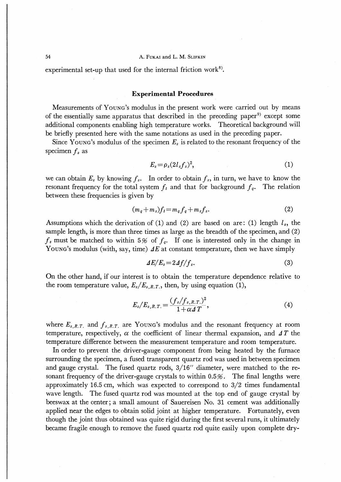# 54 **Reduces** A. FUKAI and L. M. SLIFKIN

experimental set-up that used for the internal friction work<sup>8)</sup>.

# Experimental Procedures

Measurements of Young's modulus in the present work were carried out by means of the essentially same apparatus that described in the preceding paper<sup>9)</sup> except some additional components enabling high temperature works. Theoretical background will be briefly presented here with the same notations as used in the preceding paper.

Since Young's modulus of the specimen  $E_s$  is related to the resonant frequency of the specimen  $f_s$  as

$$
E_s = \rho_s (2l_s f_s)^2, \tag{1}
$$

we can obtain  $E_s$  by knowing  $f_s$ . In order to obtain  $f_s$ , in turn, we have to know the resonant frequency for the total system  $f_t$  and that for background  $f_q$ . The relation between these frequencies is given by

$$
(m_q + m_s)f_t = m_q f_q + m_s f_s. \tag{2}
$$

Assumptions which the derivation of (1) and (2) are based on are: (1) length  $l_s$ , the sample length, is more than three times as large as the breadth of the specimen, and (2)  $f_s$  must be matched to within 5% of  $f_q$ . If one is interested only in the change in Young's modulus (with, say, time)  $\Delta E$  at constant temperature, then we have simply

$$
\Delta E/E_s = 2\Delta f/f_s. \tag{3}
$$

On the other hand, if our interest is to obtain the temperature dependence relative to the room temperature value,  $E_s/E_{s,R,T}$ , then, by using equation (1),

$$
E_s/E_{s,R,T} = \frac{(f_s/f_{s,R,T})^2}{1+\alpha A T},
$$
\n(4)

where  $E_{s,R,T}$  and  $f_{s,R,T}$  are Young's modulus and the resonant frequency at room temperature, respectively,  $\alpha$  the coefficient of linear thermal expansion, and  $\Delta T$  the temperature difference between the measurement temperature and room temperature.

In order to prevent the driver-gauge component from being heated by the furnace surrounding the specimen, a fused transparent quartz rod was used in between specimen and gauge crystal. The fused quartz rods, 3/16′′ diameter, were matched to the resonant frequency of the driver-gauge crystals to within  $0.5\%$ . The final lengths were approximately 16.5 cm, which was expected to correspond to 3/2 times fundamental wave length. The fused quartz rod was mounted at the top end of gauge crystal by beeswax at the center; a small amount of Sauereisen No. 31 cement was additionally applied near the edges to obtain solid joint at higher temperature. Fortunately, even though the joint thus obtained was quite rigid during the first several runs, it ultimately became fragile enough to remove the fused quartz rod quite easily upon complete dry-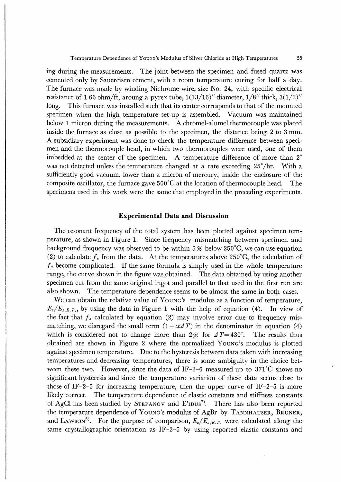Temperature Dependence of Young's Modulus of Silver Chloride at High Temperatures 55

ing during the measurements. The joint between the specimen and fused quartz was cemented only by Sauereisen cement, with a room temperature curing for half a day. The furnace was made by winding Nichrome wire, size No. 24, with specific electrical resistance of 1.66 ohm/ft, aroung a pyrex tube,  $1(13/16)$ " diameter,  $1/8$ " thick,  $3(1/2)$ " long. This furnace was installed such that its center corresponds to that of the mounted specimen when the high temperature set-up is assembled. Vacuum was maintained below 1 micron during the measurements. A chromel-alumel thermocouple was placed inside the furnace as close as possible to the specimen, the distance being 2 to 3 mm. A subsidiary experiment was done to check the temperature difference between spedmen and the thermocouple head, in which two thermocouples were used, one of them imbedded at the center of the specimen. A temperature difference of more than  $2^\circ$ was not detected unless the temperature changed at a rate exceeding 25°/hr. With a sufficiently good vacuum, lower than a micron of mercury, inside the enclosure of the composite oscillator, the furnace gave  $500^{\circ}$ C at the location of thermocouple head. The specimens used in this work were the same that employed in the preceding experiments.

# Experimental Data and Discussion

The resonant frequency of the total system has been plotted against specimen temperature, as shown in Figure 1. Since frequency mismatching between specimen and background frequency was observed to be within  $5\%$  below 250°C, we can use equation (2) to calculate  $f_s$  from the data. At the temperatures above 250°C, the calculation of  $f_s$  become complicated. If the same formula is simply used in the whole temperature range, the curve shown in the figure was obtained. The data obtained by using another specimen cut from the same original ingot and parallel to that used in the first run are also shown. The temperature dependence seems to be almost the same in both cases.

We can obtain the relative value of Young's modulus as a function of temperature,  $E_s/E_{s,R,T}$ , by using the data in Figure 1 with the help of equation (4). In view of the fact that  $f_s$  calculated by equation (2) may involve error due to frequency mismatching, we disregard the small term  $(1 + \alpha \Delta T)$  in the denominator in equation (4) which is considered not to change more than 2% for  $\Delta T = 430^{\circ}$ . The results thus obtained are shown in Figure 2 where the normalized Young's modulus is plotted against specimen temperature. Due to the hysteresis between data taken with increasing temperatures and decreasing temperatures, there is some ambiguity in the choice between these two. However, since the data of IF-2-6 measured up to  $371^{\circ}$ C shows no significant hysteresis and since the temperature variation of these data seems close to those of IF-2-5 for increasing temperature, then the upper curve of IF-2-5 is more likely correct. The temperature dependence of elastic constants and stiffness constants of AgCl has been studied by STEPANOV and E'IDUS<sup>7</sup>. There has also been reported the temperature dependence of YOUNG's modulus of AgBr by TANNHAUSER, BRUNER, and LAWSON<sup>6)</sup>. For the purpose of comparison,  $E_s/E_{s,R,T}$  were calculated along the same crystallographic orientation as IF-2-5 by using reported elastic constants and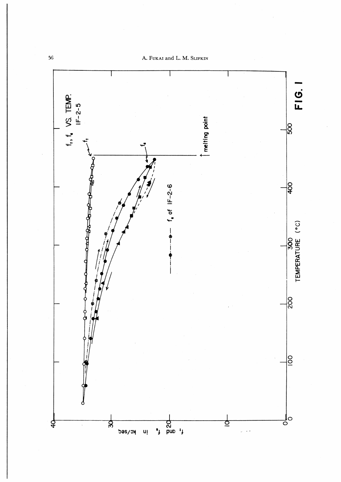A. Fukai and L. M. Slifkin

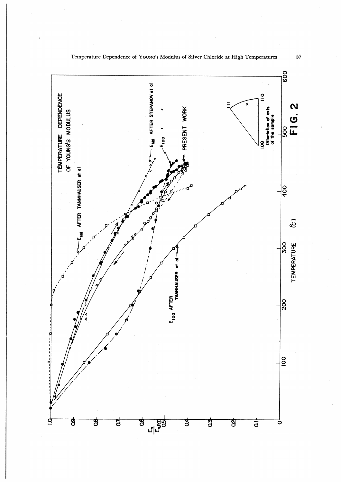

Temperature Dependence of Young's Modulus of Silver Chloride at High Temperatures 57